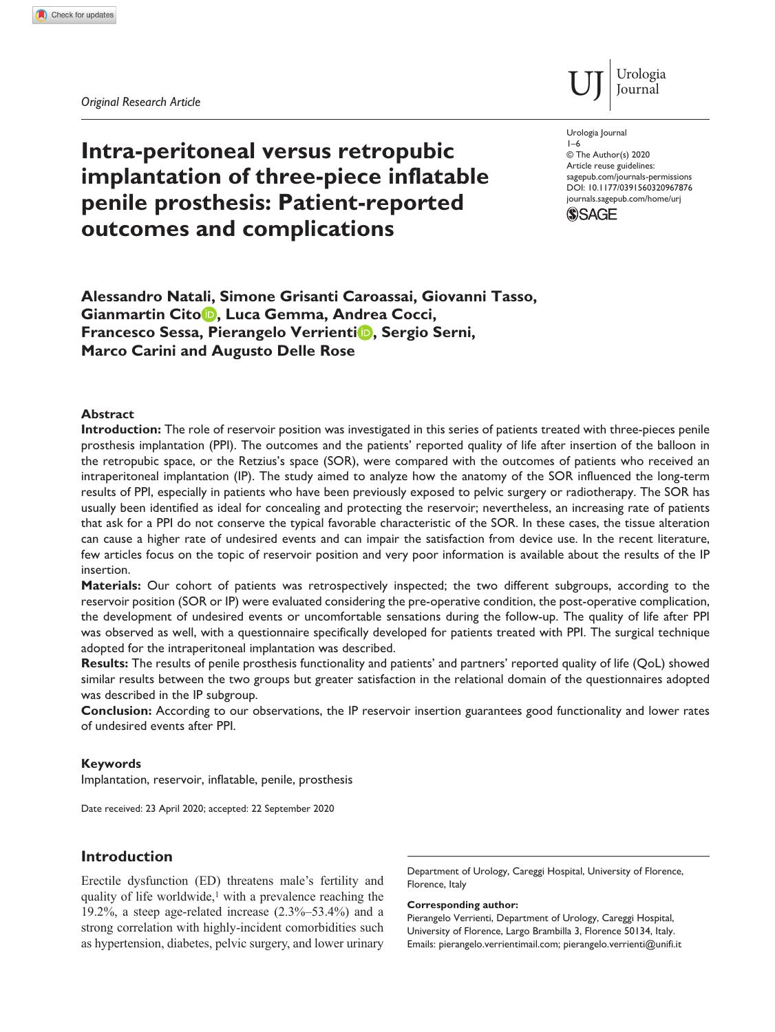*Original Research Article*



Urologia Journal 1–6

DOI: 10.1177/0391560320967876 © The Author(s) 2020 Article reuse guidelines: [sagepub.com/journals-permissions](https://uk.sagepub.com/en-gb/journals-permissions) [journals.sagepub.com/home/urj](https://journals.sagepub.com/home/urj)



# **Intra-peritoneal versus retropubic implantation of three-piece inflatable penile prosthesis: Patient-reported outcomes and complications**

**Alessandro Natali, Simone Grisanti Caroassai, Giovanni Tasso, Gianmartin Cito , Luca Gemma, Andrea Cocci, Francesco Sessa, Pierangelo Verrienti , Sergio Serni, Marco Carini and Augusto Delle Rose** 

# **Abstract**

**Introduction:** The role of reservoir position was investigated in this series of patients treated with three-pieces penile prosthesis implantation (PPI). The outcomes and the patients' reported quality of life after insertion of the balloon in the retropubic space, or the Retzius's space (SOR), were compared with the outcomes of patients who received an intraperitoneal implantation (IP). The study aimed to analyze how the anatomy of the SOR influenced the long-term results of PPI, especially in patients who have been previously exposed to pelvic surgery or radiotherapy. The SOR has usually been identified as ideal for concealing and protecting the reservoir; nevertheless, an increasing rate of patients that ask for a PPI do not conserve the typical favorable characteristic of the SOR. In these cases, the tissue alteration can cause a higher rate of undesired events and can impair the satisfaction from device use. In the recent literature, few articles focus on the topic of reservoir position and very poor information is available about the results of the IP insertion.

**Materials:** Our cohort of patients was retrospectively inspected; the two different subgroups, according to the reservoir position (SOR or IP) were evaluated considering the pre-operative condition, the post-operative complication, the development of undesired events or uncomfortable sensations during the follow-up. The quality of life after PPI was observed as well, with a questionnaire specifically developed for patients treated with PPI. The surgical technique adopted for the intraperitoneal implantation was described.

**Results:** The results of penile prosthesis functionality and patients' and partners' reported quality of life (QoL) showed similar results between the two groups but greater satisfaction in the relational domain of the questionnaires adopted was described in the IP subgroup.

**Conclusion:** According to our observations, the IP reservoir insertion guarantees good functionality and lower rates of undesired events after PPI.

## **Keywords**

Implantation, reservoir, inflatable, penile, prosthesis

Date received: 23 April 2020; accepted: 22 September 2020

# **Introduction**

Erectile dysfunction (ED) threatens male's fertility and quality of life worldwide, $\frac{1}{1}$  with a prevalence reaching the 19.2%, a steep age-related increase  $(2.3\text{%-53.4\%})$  and a strong correlation with highly-incident comorbidities such as hypertension, diabetes, pelvic surgery, and lower urinary Department of Urology, Careggi Hospital, University of Florence, Florence, Italy

**Corresponding author:**

Pierangelo Verrienti, Department of Urology, Careggi Hospital, University of Florence, Largo Brambilla 3, Florence 50134, Italy. Emails: pierangelo.verrientimail.com; [pierangelo.verrienti@unifi.it](mailto:pierangelo.verrienti@unifi.it)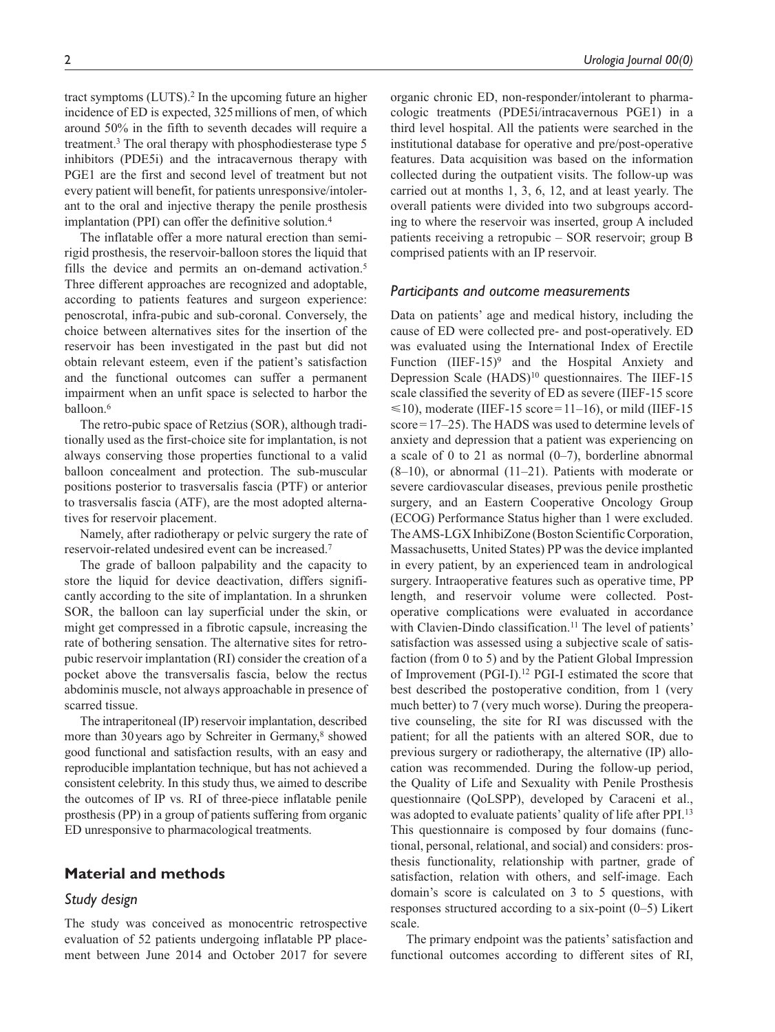tract symptoms (LUTS).<sup>2</sup> In the upcoming future an higher incidence of ED is expected, 325millions of men, of which around 50% in the fifth to seventh decades will require a treatment.3 The oral therapy with phosphodiesterase type 5 inhibitors (PDE5i) and the intracavernous therapy with PGE1 are the first and second level of treatment but not every patient will benefit, for patients unresponsive/intolerant to the oral and injective therapy the penile prosthesis implantation (PPI) can offer the definitive solution.4

The inflatable offer a more natural erection than semirigid prosthesis, the reservoir-balloon stores the liquid that fills the device and permits an on-demand activation.<sup>5</sup> Three different approaches are recognized and adoptable, according to patients features and surgeon experience: penoscrotal, infra-pubic and sub-coronal. Conversely, the choice between alternatives sites for the insertion of the reservoir has been investigated in the past but did not obtain relevant esteem, even if the patient's satisfaction and the functional outcomes can suffer a permanent impairment when an unfit space is selected to harbor the balloon.6

The retro-pubic space of Retzius (SOR), although traditionally used as the first-choice site for implantation, is not always conserving those properties functional to a valid balloon concealment and protection. The sub-muscular positions posterior to trasversalis fascia (PTF) or anterior to trasversalis fascia (ATF), are the most adopted alternatives for reservoir placement.

Namely, after radiotherapy or pelvic surgery the rate of reservoir-related undesired event can be increased.7

The grade of balloon palpability and the capacity to store the liquid for device deactivation, differs significantly according to the site of implantation. In a shrunken SOR, the balloon can lay superficial under the skin, or might get compressed in a fibrotic capsule, increasing the rate of bothering sensation. The alternative sites for retropubic reservoir implantation (RI) consider the creation of a pocket above the transversalis fascia, below the rectus abdominis muscle, not always approachable in presence of scarred tissue.

The intraperitoneal (IP) reservoir implantation, described more than 30 years ago by Schreiter in Germany, $\delta$  showed good functional and satisfaction results, with an easy and reproducible implantation technique, but has not achieved a consistent celebrity. In this study thus, we aimed to describe the outcomes of IP vs. RI of three-piece inflatable penile prosthesis (PP) in a group of patients suffering from organic ED unresponsive to pharmacological treatments.

# **Material and methods**

## *Study design*

The study was conceived as monocentric retrospective evaluation of 52 patients undergoing inflatable PP placement between June 2014 and October 2017 for severe organic chronic ED, non-responder/intolerant to pharmacologic treatments (PDE5i/intracavernous PGE1) in a third level hospital. All the patients were searched in the institutional database for operative and pre/post-operative features. Data acquisition was based on the information collected during the outpatient visits. The follow-up was carried out at months 1, 3, 6, 12, and at least yearly. The overall patients were divided into two subgroups according to where the reservoir was inserted, group A included patients receiving a retropubic – SOR reservoir; group B comprised patients with an IP reservoir.

### *Participants and outcome measurements*

Data on patients' age and medical history, including the cause of ED were collected pre- and post-operatively. ED was evaluated using the International Index of Erectile Function (IIEF-15)<sup>9</sup> and the Hospital Anxiety and Depression Scale  $(HADS)^{10}$  questionnaires. The IIEF-15 scale classified the severity of ED as severe (IIEF-15 score  $\leq$ 10), moderate (IIEF-15 score=11–16), or mild (IIEF-15 score=17–25). The HADS was used to determine levels of anxiety and depression that a patient was experiencing on a scale of 0 to 21 as normal  $(0-7)$ , borderline abnormal  $(8-10)$ , or abnormal  $(11-21)$ . Patients with moderate or severe cardiovascular diseases, previous penile prosthetic surgery, and an Eastern Cooperative Oncology Group (ECOG) Performance Status higher than 1 were excluded. The AMS-LGX InhibiZone (Boston Scientific Corporation, Massachusetts, United States) PP was the device implanted in every patient, by an experienced team in andrological surgery. Intraoperative features such as operative time, PP length, and reservoir volume were collected. Postoperative complications were evaluated in accordance with Clavien-Dindo classification.<sup>11</sup> The level of patients' satisfaction was assessed using a subjective scale of satisfaction (from 0 to 5) and by the Patient Global Impression of Improvement (PGI-I).12 PGI-I estimated the score that best described the postoperative condition, from 1 (very much better) to 7 (very much worse). During the preoperative counseling, the site for RI was discussed with the patient; for all the patients with an altered SOR, due to previous surgery or radiotherapy, the alternative (IP) allocation was recommended. During the follow-up period, the Quality of Life and Sexuality with Penile Prosthesis questionnaire (QoLSPP), developed by Caraceni et al., was adopted to evaluate patients' quality of life after PPI.<sup>13</sup> This questionnaire is composed by four domains (functional, personal, relational, and social) and considers: prosthesis functionality, relationship with partner, grade of satisfaction, relation with others, and self-image. Each domain's score is calculated on 3 to 5 questions, with responses structured according to a six-point (0–5) Likert scale.

The primary endpoint was the patients' satisfaction and functional outcomes according to different sites of RI,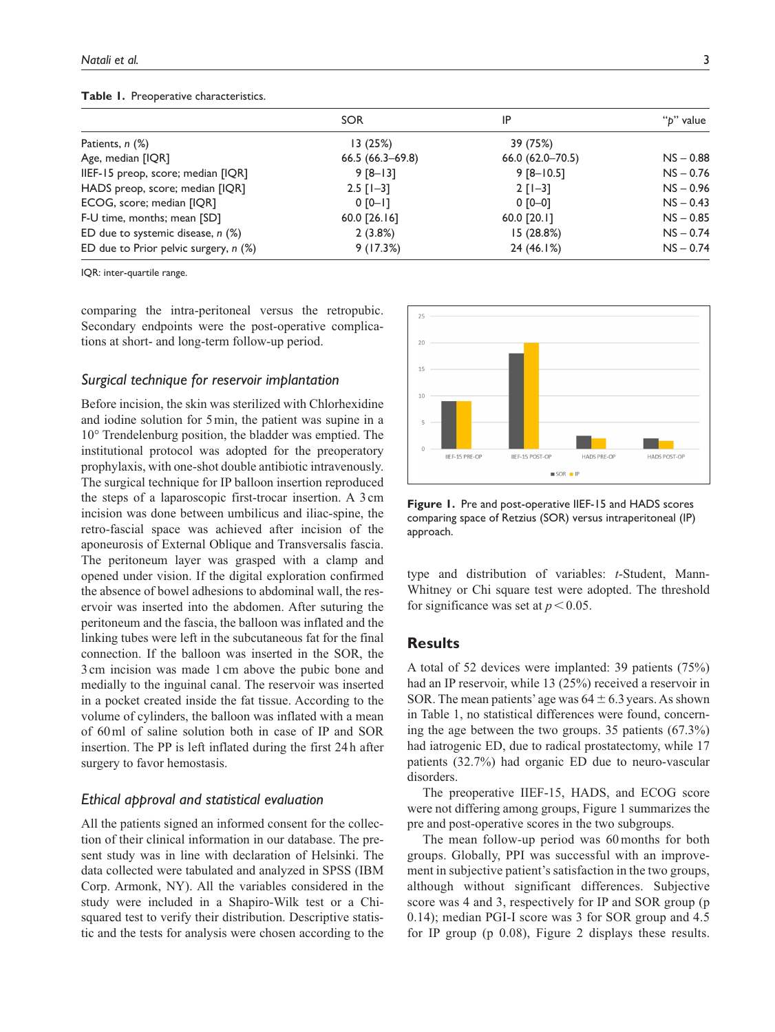| <b>SOR</b>        | IP                  | "b" value   |  |
|-------------------|---------------------|-------------|--|
| 13(25%)           | 39 (75%)            |             |  |
| $66.5(66.3-69.8)$ | $66.0(62.0 - 70.5)$ | $NS - 0.88$ |  |
| $9 [8 - 13]$      | $9$ [8-10.5]        | $NS - 0.76$ |  |
| $2.5$ [1-3]       | $2$ [1-3]           | $NS - 0.96$ |  |
| $0$ [0-1]         | $0 10 - 01$         | $NS - 0.43$ |  |
| $60.0$ [26.16]    | $60.0$ [20.1]       | $NS - 0.85$ |  |
| 2(3.8%)           | 15(28.8%)           | $NS - 0.74$ |  |
| 9(17.3%)          | 24 (46.1%)          | $NS - 0.74$ |  |
|                   |                     |             |  |

**Table 1.** Preoperative characteristics.

IQR: inter-quartile range.

comparing the intra-peritoneal versus the retropubic. Secondary endpoints were the post-operative complications at short- and long-term follow-up period.

# *Surgical technique for reservoir implantation*

Before incision, the skin was sterilized with Chlorhexidine and iodine solution for 5min, the patient was supine in a 10° Trendelenburg position, the bladder was emptied. The institutional protocol was adopted for the preoperatory prophylaxis, with one-shot double antibiotic intravenously. The surgical technique for IP balloon insertion reproduced the steps of a laparoscopic first-trocar insertion. A 3 cm incision was done between umbilicus and iliac-spine, the retro-fascial space was achieved after incision of the aponeurosis of External Oblique and Transversalis fascia. The peritoneum layer was grasped with a clamp and opened under vision. If the digital exploration confirmed the absence of bowel adhesions to abdominal wall, the reservoir was inserted into the abdomen. After suturing the peritoneum and the fascia, the balloon was inflated and the linking tubes were left in the subcutaneous fat for the final connection. If the balloon was inserted in the SOR, the 3 cm incision was made 1cm above the pubic bone and medially to the inguinal canal. The reservoir was inserted in a pocket created inside the fat tissue. According to the volume of cylinders, the balloon was inflated with a mean of 60ml of saline solution both in case of IP and SOR insertion. The PP is left inflated during the first 24h after surgery to favor hemostasis.

#### *Ethical approval and statistical evaluation*

All the patients signed an informed consent for the collection of their clinical information in our database. The present study was in line with declaration of Helsinki. The data collected were tabulated and analyzed in SPSS (IBM Corp. Armonk, NY). All the variables considered in the study were included in a Shapiro-Wilk test or a Chisquared test to verify their distribution. Descriptive statistic and the tests for analysis were chosen according to the



**Figure 1.** Pre and post-operative IIEF-15 and HADS scores comparing space of Retzius (SOR) versus intraperitoneal (IP) approach.

type and distribution of variables: *t*-Student, Mann-Whitney or Chi square test were adopted. The threshold for significance was set at  $p < 0.05$ .

# **Results**

A total of 52 devices were implanted: 39 patients (75%) had an IP reservoir, while 13 (25%) received a reservoir in SOR. The mean patients' age was  $64 \pm 6.3$  years. As shown in Table 1, no statistical differences were found, concerning the age between the two groups. 35 patients (67.3%) had iatrogenic ED, due to radical prostatectomy, while 17 patients (32.7%) had organic ED due to neuro-vascular disorders.

The preoperative IIEF-15, HADS, and ECOG score were not differing among groups, Figure 1 summarizes the pre and post-operative scores in the two subgroups.

The mean follow-up period was 60months for both groups. Globally, PPI was successful with an improvement in subjective patient's satisfaction in the two groups, although without significant differences. Subjective score was 4 and 3, respectively for IP and SOR group (p 0.14); median PGI-I score was 3 for SOR group and 4.5 for IP group (p 0.08), Figure 2 displays these results.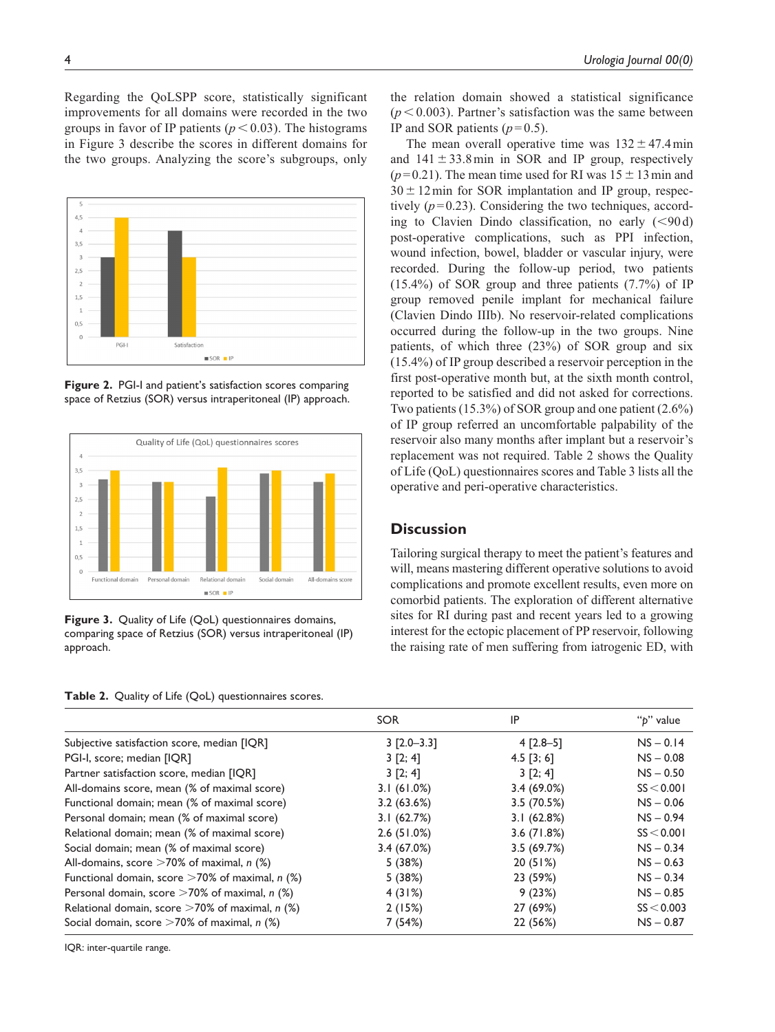Regarding the QoLSPP score, statistically significant improvements for all domains were recorded in the two groups in favor of IP patients ( $p < 0.03$ ). The histograms in Figure 3 describe the scores in different domains for the two groups. Analyzing the score's subgroups, only



**Figure 2.** PGI-I and patient's satisfaction scores comparing space of Retzius (SOR) versus intraperitoneal (IP) approach.



**Figure 3.** Quality of Life (QoL) questionnaires domains, comparing space of Retzius (SOR) versus intraperitoneal (IP) approach.

the relation domain showed a statistical significance  $(p<0.003)$ . Partner's satisfaction was the same between IP and SOR patients  $(p=0.5)$ .

The mean overall operative time was  $132 \pm 47.4$  min and  $141 \pm 33.8$  min in SOR and IP group, respectively ( $p=0.21$ ). The mean time used for RI was  $15 \pm 13$  min and  $30 \pm 12$  min for SOR implantation and IP group, respectively  $(p=0.23)$ . Considering the two techniques, according to Clavien Dindo classification, no early  $(< 90d)$ post-operative complications, such as PPI infection, wound infection, bowel, bladder or vascular injury, were recorded. During the follow-up period, two patients (15.4%) of SOR group and three patients (7.7%) of IP group removed penile implant for mechanical failure (Clavien Dindo IIIb). No reservoir-related complications occurred during the follow-up in the two groups. Nine patients, of which three (23%) of SOR group and six (15.4%) of IP group described a reservoir perception in the first post-operative month but, at the sixth month control, reported to be satisfied and did not asked for corrections. Two patients (15.3%) of SOR group and one patient (2.6%) of IP group referred an uncomfortable palpability of the reservoir also many months after implant but a reservoir's replacement was not required. Table 2 shows the Quality of Life (QoL) questionnaires scores and Table 3 lists all the operative and peri-operative characteristics.

# **Discussion**

Tailoring surgical therapy to meet the patient's features and will, means mastering different operative solutions to avoid complications and promote excellent results, even more on comorbid patients. The exploration of different alternative sites for RI during past and recent years led to a growing interest for the ectopic placement of PP reservoir, following the raising rate of men suffering from iatrogenic ED, with

|                                                    | <b>SOR</b>        | IP            | "b" value   |
|----------------------------------------------------|-------------------|---------------|-------------|
| Subjective satisfaction score, median [IQR]        | $3$ $[2.0 - 3.3]$ | $4$ [2.8-5]   | $NS - 0.14$ |
| PGI-I, score; median [IQR]                         | 3 [2; 4]          | $4.5$ [3; 6]  | $NS - 0.08$ |
| Partner satisfaction score, median [IQR]           | 3 [2; 4]          | 3 [2; 4]      | $NS - 0.50$ |
| All-domains score, mean (% of maximal score)       | 3.1(61.0%)        | $3.4(69.0\%)$ | SS < 0.001  |
| Functional domain; mean (% of maximal score)       | 3.2(63.6%)        | 3.5(70.5%)    | $NS - 0.06$ |
| Personal domain; mean (% of maximal score)         | 3.1(62.7%)        | 3.1(62.8%)    | $NS - 0.94$ |
| Relational domain; mean (% of maximal score)       | $2.6(51.0\%)$     | 3.6(71.8%)    | SS < 0.001  |
| Social domain; mean (% of maximal score)           | 3.4(67.0%)        | 3.5(69.7%)    | $NS - 0.34$ |
| All-domains, score $>70\%$ of maximal, n (%)       | 5(38%)            | 20(51%)       | $NS - 0.63$ |
| Functional domain, score $>70\%$ of maximal, n (%) | 5(38%)            | 23 (59%)      | $NS - 0.34$ |
| Personal domain, score $>70\%$ of maximal, n (%)   | 4(31%)            | 9(23%)        | $NS - 0.85$ |
| Relational domain, score $>70\%$ of maximal, n (%) | 2(15%)            | 27 (69%)      | SS < 0.003  |
| Social domain, score $>70\%$ of maximal, n (%)     | 7 (54%)           | 22 (56%)      | $NS - 0.87$ |

IQR: inter-quartile range.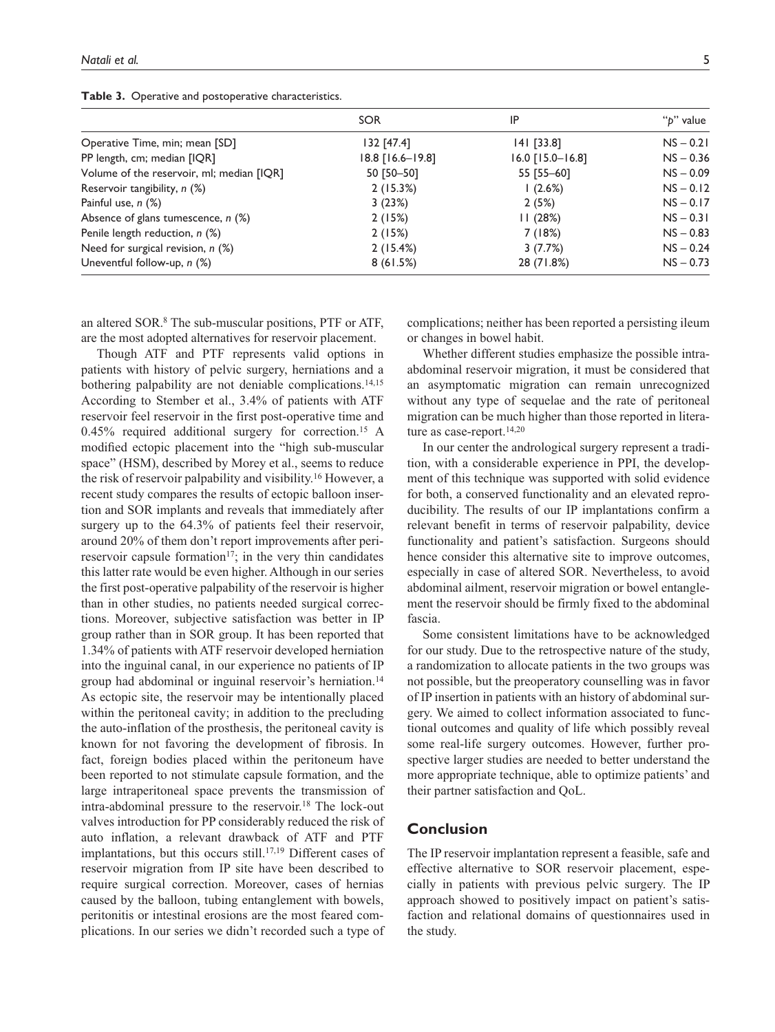|                                           | <b>SOR</b>       | ΙP                 | "b" value   |
|-------------------------------------------|------------------|--------------------|-------------|
| Operative Time, min; mean [SD]            | $132$ [47.4]     | $141$ [33.8]       | $NS - 0.21$ |
| PP length, cm; median [IQR]               | 18.8 [16.6-19.8] | $16.0$ [15.0-16.8] | $NS - 0.36$ |
| Volume of the reservoir, ml; median [IQR] | 50 [50 - 50]     | 55 [55-60]         | $NS - 0.09$ |
| Reservoir tangibility, n (%)              | 2(15.3%)         | (2.6%)             | $NS - 0.12$ |
| Painful use, n (%)                        | 3(23%)           | 2(5%)              | $NS - 0.17$ |
| Absence of glans tumescence, $n$ (%)      | 2(15%)           | 11(28%)            | $NS - 0.31$ |
| Penile length reduction, n (%)            | 2(15%)           | 7 (18%)            | $NS - 0.83$ |
| Need for surgical revision, $n$ (%)       | 2(15.4%)         | 3(7.7%)            | $NS - 0.24$ |
| Uneventful follow-up, $n$ $(\%)$          | 8(61.5%)         | 28 (71.8%)         | $NS - 0.73$ |

|  |  |  | Table 3. Operative and postoperative characteristics. |
|--|--|--|-------------------------------------------------------|
|--|--|--|-------------------------------------------------------|

an altered SOR.8 The sub-muscular positions, PTF or ATF, are the most adopted alternatives for reservoir placement.

Though ATF and PTF represents valid options in patients with history of pelvic surgery, herniations and a bothering palpability are not deniable complications.14,15 According to Stember et al., 3.4% of patients with ATF reservoir feel reservoir in the first post-operative time and 0.45% required additional surgery for correction.15 A modified ectopic placement into the "high sub-muscular space" (HSM), described by Morey et al., seems to reduce the risk of reservoir palpability and visibility.16 However, a recent study compares the results of ectopic balloon insertion and SOR implants and reveals that immediately after surgery up to the  $64.3\%$  of patients feel their reservoir, around 20% of them don't report improvements after perireservoir capsule formation<sup>17</sup>; in the very thin candidates this latter rate would be even higher. Although in our series the first post-operative palpability of the reservoir is higher than in other studies, no patients needed surgical corrections. Moreover, subjective satisfaction was better in IP group rather than in SOR group. It has been reported that 1.34% of patients with ATF reservoir developed herniation into the inguinal canal, in our experience no patients of IP group had abdominal or inguinal reservoir's herniation.14 As ectopic site, the reservoir may be intentionally placed within the peritoneal cavity; in addition to the precluding the auto-inflation of the prosthesis, the peritoneal cavity is known for not favoring the development of fibrosis. In fact, foreign bodies placed within the peritoneum have been reported to not stimulate capsule formation, and the large intraperitoneal space prevents the transmission of intra-abdominal pressure to the reservoir.18 The lock-out valves introduction for PP considerably reduced the risk of auto inflation, a relevant drawback of ATF and PTF implantations, but this occurs still.<sup>17,19</sup> Different cases of reservoir migration from IP site have been described to require surgical correction. Moreover, cases of hernias caused by the balloon, tubing entanglement with bowels, peritonitis or intestinal erosions are the most feared complications. In our series we didn't recorded such a type of complications; neither has been reported a persisting ileum or changes in bowel habit.

Whether different studies emphasize the possible intraabdominal reservoir migration, it must be considered that an asymptomatic migration can remain unrecognized without any type of sequelae and the rate of peritoneal migration can be much higher than those reported in literature as case-report.<sup>14,20</sup>

In our center the andrological surgery represent a tradition, with a considerable experience in PPI, the development of this technique was supported with solid evidence for both, a conserved functionality and an elevated reproducibility. The results of our IP implantations confirm a relevant benefit in terms of reservoir palpability, device functionality and patient's satisfaction. Surgeons should hence consider this alternative site to improve outcomes, especially in case of altered SOR. Nevertheless, to avoid abdominal ailment, reservoir migration or bowel entanglement the reservoir should be firmly fixed to the abdominal fascia.

Some consistent limitations have to be acknowledged for our study. Due to the retrospective nature of the study, a randomization to allocate patients in the two groups was not possible, but the preoperatory counselling was in favor of IP insertion in patients with an history of abdominal surgery. We aimed to collect information associated to functional outcomes and quality of life which possibly reveal some real-life surgery outcomes. However, further prospective larger studies are needed to better understand the more appropriate technique, able to optimize patients' and their partner satisfaction and QoL.

# **Conclusion**

The IP reservoir implantation represent a feasible, safe and effective alternative to SOR reservoir placement, especially in patients with previous pelvic surgery. The IP approach showed to positively impact on patient's satisfaction and relational domains of questionnaires used in the study.